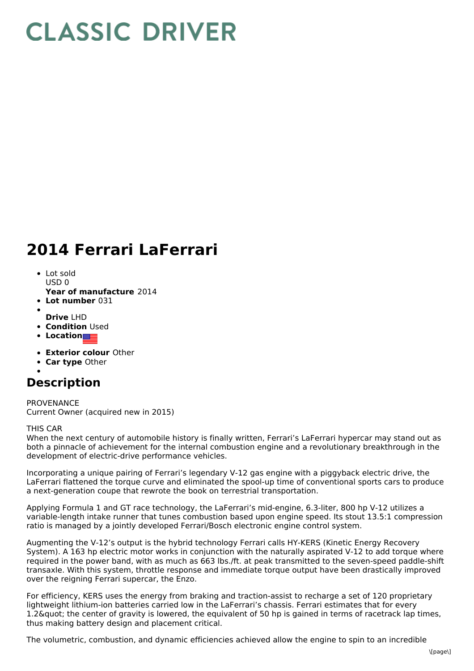## **CLASSIC DRIVER**

## **2014 Ferrari LaFerrari**

- Lot sold  $USD0$
- **Year of manufacture** 2014
- **Lot number** 031
- 
- **Drive** LHD **• Condition Used**
- **•** Location
- 
- **Exterior colour** Other
- **Car type** Other

## **Description**

PROVENANCE Current Owner (acquired new in 2015)

## THIS CAR

When the next century of automobile history is finally written, Ferrari's LaFerrari hypercar may stand out as both a pinnacle of achievement for the internal combustion engine and a revolutionary breakthrough in the development of electric-drive performance vehicles.

Incorporating a unique pairing of Ferrari's legendary V-12 gas engine with a piggyback electric drive, the LaFerrari flattened the torque curve and eliminated the spool-up time of conventional sports cars to produce a next-generation coupe that rewrote the book on terrestrial transportation.

Applying Formula 1 and GT race technology, the LaFerrari's mid-engine, 6.3-liter, 800 hp V-12 utilizes a variable-length intake runner that tunes combustion based upon engine speed. Its stout 13.5:1 compression ratio is managed by a jointly developed Ferrari/Bosch electronic engine control system.

Augmenting the V-12's output is the hybrid technology Ferrari calls HY-KERS (Kinetic Energy Recovery System). A 163 hp electric motor works in conjunction with the naturally aspirated V-12 to add torque where required in the power band, with as much as 663 lbs./ft. at peak transmitted to the seven-speed paddle-shift transaxle. With this system, throttle response and immediate torque output have been drastically improved over the reigning Ferrari supercar, the Enzo.

For efficiency, KERS uses the energy from braking and traction-assist to recharge a set of 120 proprietary lightweight lithium-ion batteries carried low in the LaFerrari's chassis. Ferrari estimates that for every 1.2 & quot; the center of gravity is lowered, the equivalent of 50 hp is gained in terms of racetrack lap times, thus making battery design and placement critical.

The volumetric, combustion, and dynamic efficiencies achieved allow the engine to spin to an incredible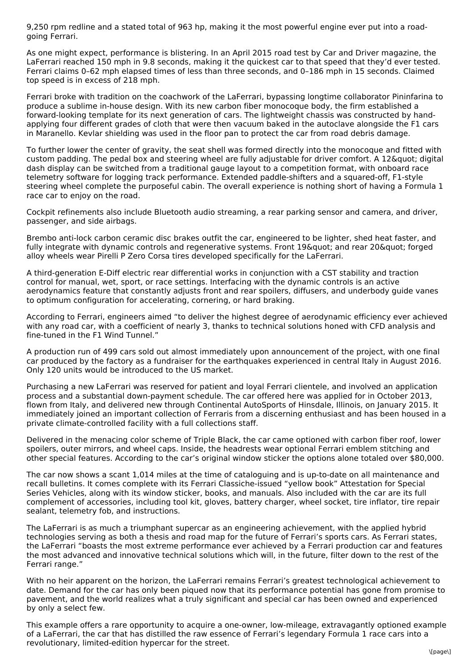9,250 rpm redline and a stated total of 963 hp, making it the most powerful engine ever put into a roadgoing Ferrari.

As one might expect, performance is blistering. In an April 2015 road test by Car and Driver magazine, the LaFerrari reached 150 mph in 9.8 seconds, making it the quickest car to that speed that they'd ever tested. Ferrari claims 0–62 mph elapsed times of less than three seconds, and 0–186 mph in 15 seconds. Claimed top speed is in excess of 218 mph.

Ferrari broke with tradition on the coachwork of the LaFerrari, bypassing longtime collaborator Pininfarina to produce a sublime in-house design. With its new carbon fiber monocoque body, the firm established a forward-looking template for its next generation of cars. The lightweight chassis was constructed by handapplying four different grades of cloth that were then vacuum baked in the autoclave alongside the F1 cars in Maranello. Kevlar shielding was used in the floor pan to protect the car from road debris damage.

To further lower the center of gravity, the seat shell was formed directly into the monocoque and fitted with custom padding. The pedal box and steering wheel are fully adjustable for driver comfort. A 12& quot; digital dash display can be switched from a traditional gauge layout to a competition format, with onboard race telemetry software for logging track performance. Extended paddle-shifters and a squared-off, F1-style steering wheel complete the purposeful cabin. The overall experience is nothing short of having a Formula 1 race car to enjoy on the road.

Cockpit refinements also include Bluetooth audio streaming, a rear parking sensor and camera, and driver, passenger, and side airbags.

Brembo anti-lock carbon ceramic disc brakes outfit the car, engineered to be lighter, shed heat faster, and fully integrate with dynamic controls and regenerative systems. Front 19" and rear 20" forged alloy wheels wear Pirelli P Zero Corsa tires developed specifically for the LaFerrari.

A third-generation E-Diff electric rear differential works in conjunction with a CST stability and traction control for manual, wet, sport, or race settings. Interfacing with the dynamic controls is an active aerodynamics feature that constantly adjusts front and rear spoilers, diffusers, and underbody guide vanes to optimum configuration for accelerating, cornering, or hard braking.

According to Ferrari, engineers aimed "to deliver the highest degree of aerodynamic efficiency ever achieved with any road car, with a coefficient of nearly 3, thanks to technical solutions honed with CFD analysis and fine-tuned in the F1 Wind Tunnel."

A production run of 499 cars sold out almost immediately upon announcement of the project, with one final car produced by the factory as a fundraiser for the earthquakes experienced in central Italy in August 2016. Only 120 units would be introduced to the US market.

Purchasing a new LaFerrari was reserved for patient and loyal Ferrari clientele, and involved an application process and a substantial down-payment schedule. The car offered here was applied for in October 2013, flown from Italy, and delivered new through Continental AutoSports of Hinsdale, Illinois, on January 2015. It immediately joined an important collection of Ferraris from a discerning enthusiast and has been housed in a private climate-controlled facility with a full collections staff.

Delivered in the menacing color scheme of Triple Black, the car came optioned with carbon fiber roof, lower spoilers, outer mirrors, and wheel caps. Inside, the headrests wear optional Ferrari emblem stitching and other special features. According to the car's original window sticker the options alone totaled over \$80,000.

The car now shows a scant 1,014 miles at the time of cataloguing and is up-to-date on all maintenance and recall bulletins. It comes complete with its Ferrari Classiche-issued "yellow book" Attestation for Special Series Vehicles, along with its window sticker, books, and manuals. Also included with the car are its full complement of accessories, including tool kit, gloves, battery charger, wheel socket, tire inflator, tire repair sealant, telemetry fob, and instructions.

The LaFerrari is as much a triumphant supercar as an engineering achievement, with the applied hybrid technologies serving as both a thesis and road map for the future of Ferrari's sports cars. As Ferrari states, the LaFerrari "boasts the most extreme performance ever achieved by a Ferrari production car and features the most advanced and innovative technical solutions which will, in the future, filter down to the rest of the Ferrari range."

With no heir apparent on the horizon, the LaFerrari remains Ferrari's greatest technological achievement to date. Demand for the car has only been piqued now that its performance potential has gone from promise to pavement, and the world realizes what a truly significant and special car has been owned and experienced by only a select few.

This example offers a rare opportunity to acquire a one-owner, low-mileage, extravagantly optioned example of a LaFerrari, the car that has distilled the raw essence of Ferrari's legendary Formula 1 race cars into a revolutionary, limited-edition hypercar for the street.